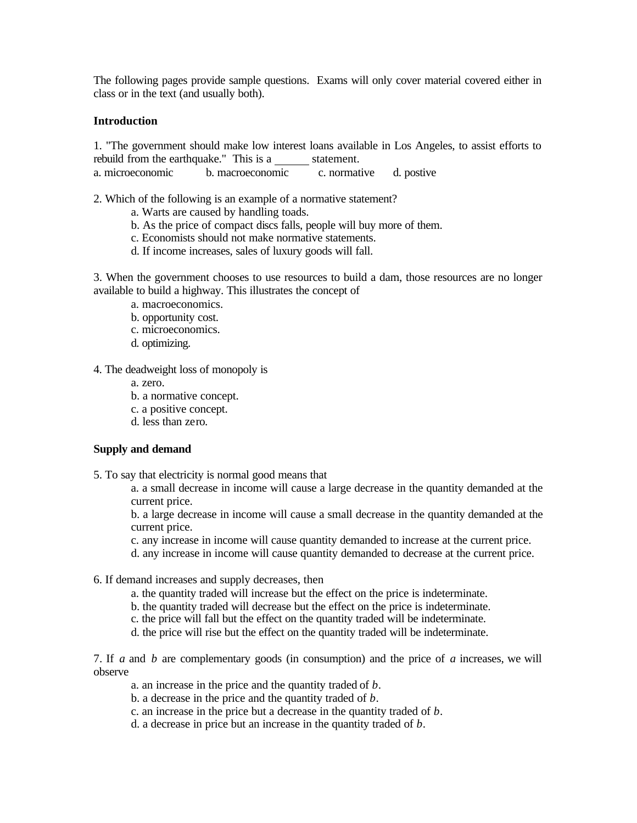The following pages provide sample questions. Exams will only cover material covered either in class or in the text (and usually both).

#### **Introduction**

1. "The government should make low interest loans available in Los Angeles, to assist efforts to rebuild from the earthquake." This is a statement.<br>a. microeconomic b. macroeconomic c. normation b. macroeconomic c. normative d. postive

2. Which of the following is an example of a normative statement?

- a. Warts are caused by handling toads.
- b. As the price of compact discs falls, people will buy more of them.
- c. Economists should not make normative statements.
- d. If income increases, sales of luxury goods will fall.

3. When the government chooses to use resources to build a dam, those resources are no longer available to build a highway. This illustrates the concept of

- a. macroeconomics.
- b. opportunity cost.

c. microeconomics.

d. optimizing.

4. The deadweight loss of monopoly is

- a. zero.
- b. a normative concept.
- c. a positive concept.
- d. less than zero.

#### **Supply and demand**

5. To say that electricity is normal good means that

a. a small decrease in income will cause a large decrease in the quantity demanded at the current price.

b. a large decrease in income will cause a small decrease in the quantity demanded at the current price.

- c. any increase in income will cause quantity demanded to increase at the current price.
- d. any increase in income will cause quantity demanded to decrease at the current price.
- 6. If demand increases and supply decreases, then
	- a. the quantity traded will increase but the effect on the price is indeterminate.
	- b. the quantity traded will decrease but the effect on the price is indeterminate.
	- c. the price will fall but the effect on the quantity traded will be indeterminate.
	- d. the price will rise but the effect on the quantity traded will be indeterminate.

7. If *a* and *b* are complementary goods (in consumption) and the price of *a* increases, we will observe

- a. an increase in the price and the quantity traded of *b*.
- b. a decrease in the price and the quantity traded of *b*.
- c. an increase in the price but a decrease in the quantity traded of *b*.
- d. a decrease in price but an increase in the quantity traded of *b*.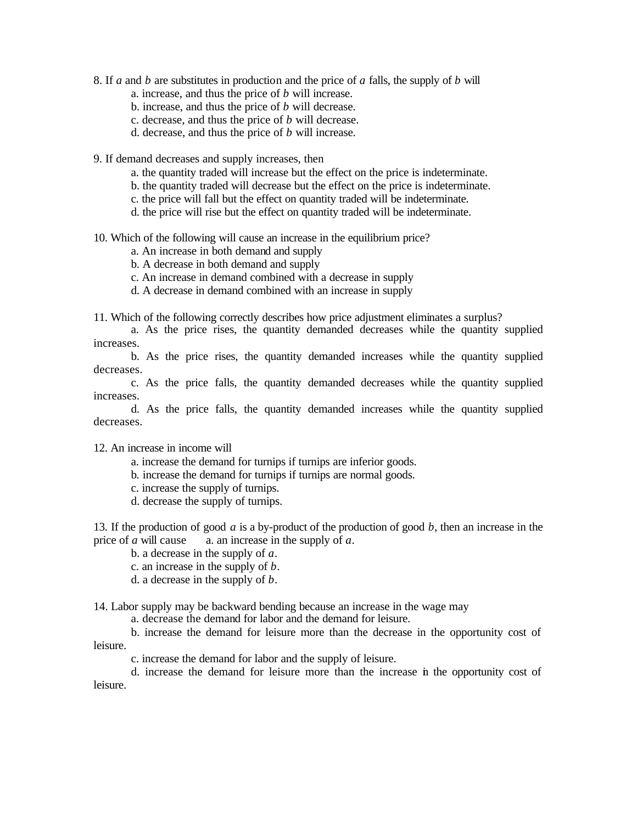- 8. If *a* and *b* are substitutes in production and the price of *a* falls, the supply of *b* will
	- a. increase, and thus the price of *b* will increase.
	- b. increase, and thus the price of *b* will decrease.
	- c. decrease, and thus the price of *b* will decrease.
	- d. decrease, and thus the price of *b* will increase.
- 9. If demand decreases and supply increases, then
	- a. the quantity traded will increase but the effect on the price is indeterminate.
	- b. the quantity traded will decrease but the effect on the price is indeterminate.
	- c. the price will fall but the effect on quantity traded will be indeterminate.
	- d. the price will rise but the effect on quantity traded will be indeterminate.
- 10. Which of the following will cause an increase in the equilibrium price?
	- a. An increase in both demand and supply
	- b. A decrease in both demand and supply
	- c. An increase in demand combined with a decrease in supply
	- d. A decrease in demand combined with an increase in supply

11. Which of the following correctly describes how price adjustment eliminates a surplus?

a. As the price rises, the quantity demanded decreases while the quantity supplied increases.

b. As the price rises, the quantity demanded increases while the quantity supplied decreases.

c. As the price falls, the quantity demanded decreases while the quantity supplied increases.

d. As the price falls, the quantity demanded increases while the quantity supplied decreases.

## 12. An increase in income will

- a. increase the demand for turnips if turnips are inferior goods.
- b. increase the demand for turnips if turnips are normal goods.
- c. increase the supply of turnips.
- d. decrease the supply of turnips.

13. If the production of good *a* is a by-product of the production of good *b*, then an increase in the price of *a* will cause a. an increase in the supply of *a*. a. an increase in the supply of  $a$ .

b. a decrease in the supply of *a*.

- c. an increase in the supply of *b*.
- d. a decrease in the supply of *b*.

14. Labor supply may be backward bending because an increase in the wage may

a. decrease the demand for labor and the demand for leisure.

b. increase the demand for leisure more than the decrease in the opportunity cost of leisure.

c. increase the demand for labor and the supply of leisure.

d. increase the demand for leisure more than the increase in the opportunity cost of leisure.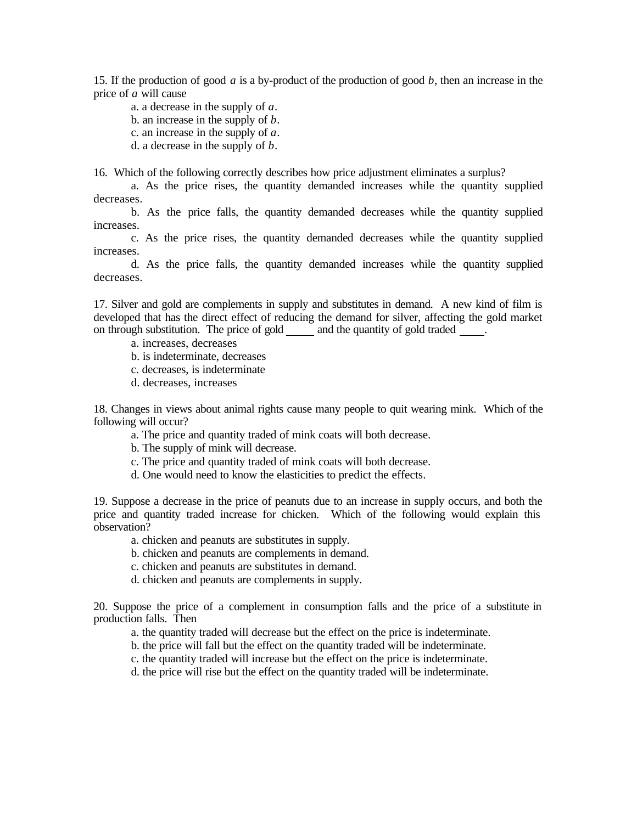15. If the production of good *a* is a by-product of the production of good *b*, then an increase in the price of *a* will cause

a. a decrease in the supply of *a*. b. an increase in the supply of *b*. c. an increase in the supply of *a*. d. a decrease in the supply of *b*.

16. Which of the following correctly describes how price adjustment eliminates a surplus?

a. As the price rises, the quantity demanded increases while the quantity supplied decreases.

b. As the price falls, the quantity demanded decreases while the quantity supplied increases.

c. As the price rises, the quantity demanded decreases while the quantity supplied increases.

d. As the price falls, the quantity demanded increases while the quantity supplied decreases.

17. Silver and gold are complements in supply and substitutes in demand. A new kind of film is developed that has the direct effect of reducing the demand for silver, affecting the gold market on through substitution. The price of gold and the quantity of gold traded .

a. increases, decreases

- b. is indeterminate, decreases
- c. decreases, is indeterminate
- d. decreases, increases

18. Changes in views about animal rights cause many people to quit wearing mink. Which of the following will occur?

- a. The price and quantity traded of mink coats will both decrease.
- b. The supply of mink will decrease.
- c. The price and quantity traded of mink coats will both decrease.
- d. One would need to know the elasticities to predict the effects.

19. Suppose a decrease in the price of peanuts due to an increase in supply occurs, and both the price and quantity traded increase for chicken. Which of the following would explain this observation?

- a. chicken and peanuts are substitutes in supply.
- b. chicken and peanuts are complements in demand.
- c. chicken and peanuts are substitutes in demand.
- d. chicken and peanuts are complements in supply.

20. Suppose the price of a complement in consumption falls and the price of a substitute in production falls. Then

- a. the quantity traded will decrease but the effect on the price is indeterminate.
- b. the price will fall but the effect on the quantity traded will be indeterminate.
- c. the quantity traded will increase but the effect on the price is indeterminate.

d. the price will rise but the effect on the quantity traded will be indeterminate.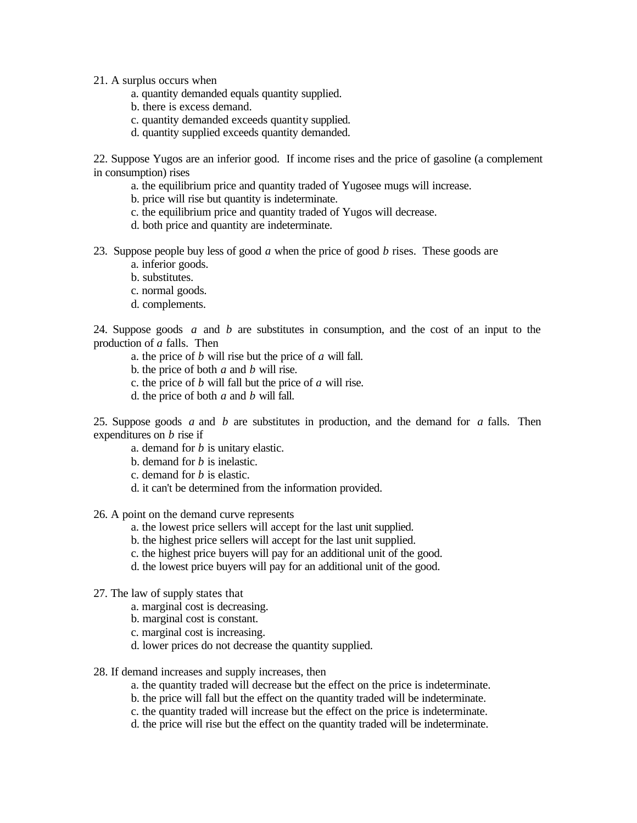21. A surplus occurs when

- a. quantity demanded equals quantity supplied.
- b. there is excess demand.
- c. quantity demanded exceeds quantity supplied.
- d. quantity supplied exceeds quantity demanded.

22. Suppose Yugos are an inferior good. If income rises and the price of gasoline (a complement in consumption) rises

- a. the equilibrium price and quantity traded of Yugosee mugs will increase.
- b. price will rise but quantity is indeterminate.
- c. the equilibrium price and quantity traded of Yugos will decrease.
- d. both price and quantity are indeterminate.
- 23. Suppose people buy less of good *a* when the price of good *b* rises. These goods are
	- a. inferior goods.
	- b. substitutes.
	- c. normal goods.
	- d. complements.

24. Suppose goods *a* and *b* are substitutes in consumption, and the cost of an input to the production of *a* falls. Then

- a. the price of *b* will rise but the price of *a* will fall.
- b. the price of both *a* and *b* will rise.
- c. the price of *b* will fall but the price of *a* will rise.
- d. the price of both *a* and *b* will fall.

25. Suppose goods *a* and *b* are substitutes in production, and the demand for *a* falls. Then expenditures on *b* rise if

- a. demand for *b* is unitary elastic.
- b. demand for *b* is inelastic.
- c. demand for *b* is elastic.
- d. it can't be determined from the information provided.

26. A point on the demand curve represents

- a. the lowest price sellers will accept for the last unit supplied.
- b. the highest price sellers will accept for the last unit supplied.
- c. the highest price buyers will pay for an additional unit of the good.
- d. the lowest price buyers will pay for an additional unit of the good.
- 27. The law of supply states that
	- a. marginal cost is decreasing.
	- b. marginal cost is constant.
	- c. marginal cost is increasing.
	- d. lower prices do not decrease the quantity supplied.
- 28. If demand increases and supply increases, then
	- a. the quantity traded will decrease but the effect on the price is indeterminate.
	- b. the price will fall but the effect on the quantity traded will be indeterminate.
	- c. the quantity traded will increase but the effect on the price is indeterminate.
	- d. the price will rise but the effect on the quantity traded will be indeterminate.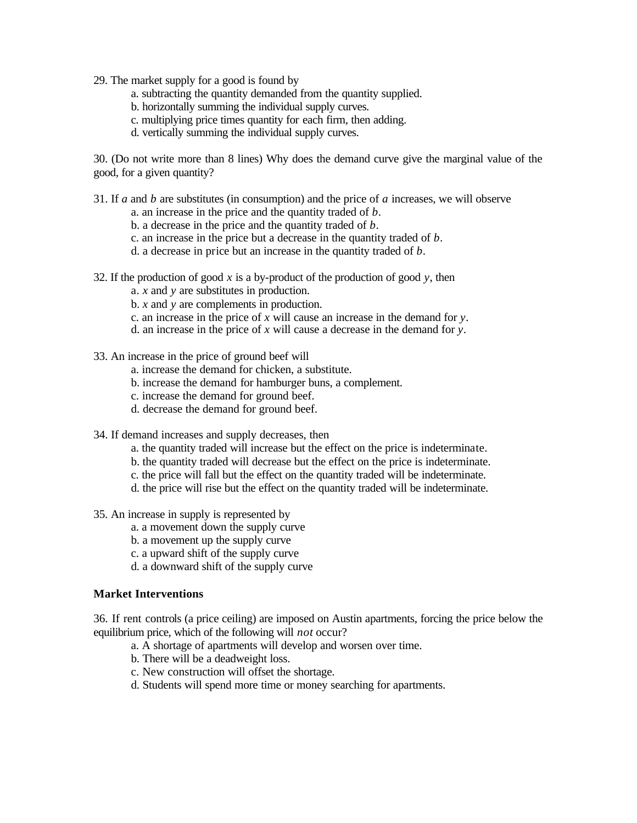29. The market supply for a good is found by

- a. subtracting the quantity demanded from the quantity supplied.
- b. horizontally summing the individual supply curves.
- c. multiplying price times quantity for each firm, then adding.
- d. vertically summing the individual supply curves.

30. (Do not write more than 8 lines) Why does the demand curve give the marginal value of the good, for a given quantity?

31. If *a* and *b* are substitutes (in consumption) and the price of *a* increases, we will observe

- a. an increase in the price and the quantity traded of *b*.
- b. a decrease in the price and the quantity traded of *b*.
- c. an increase in the price but a decrease in the quantity traded of *b*.
- d. a decrease in price but an increase in the quantity traded of *b*.
- 32. If the production of good *x* is a by-product of the production of good *y*, then
	- a. *x* and *y* are substitutes in production.
	- b. *x* and *y* are complements in production.
	- c. an increase in the price of *x* will cause an increase in the demand for *y*.
	- d. an increase in the price of *x* will cause a decrease in the demand for *y*.
- 33. An increase in the price of ground beef will
	- a. increase the demand for chicken, a substitute.
	- b. increase the demand for hamburger buns, a complement.
	- c. increase the demand for ground beef.
	- d. decrease the demand for ground beef.
- 34. If demand increases and supply decreases, then
	- a. the quantity traded will increase but the effect on the price is indeterminate.
	- b. the quantity traded will decrease but the effect on the price is indeterminate.
	- c. the price will fall but the effect on the quantity traded will be indeterminate.
	- d. the price will rise but the effect on the quantity traded will be indeterminate.
- 35. An increase in supply is represented by
	- a. a movement down the supply curve
	- b. a movement up the supply curve
	- c. a upward shift of the supply curve
	- d. a downward shift of the supply curve

# **Market Interventions**

36. If rent controls (a price ceiling) are imposed on Austin apartments, forcing the price below the equilibrium price, which of the following will *not* occur?

- a. A shortage of apartments will develop and worsen over time.
- b. There will be a deadweight loss.
- c. New construction will offset the shortage.
- d. Students will spend more time or money searching for apartments.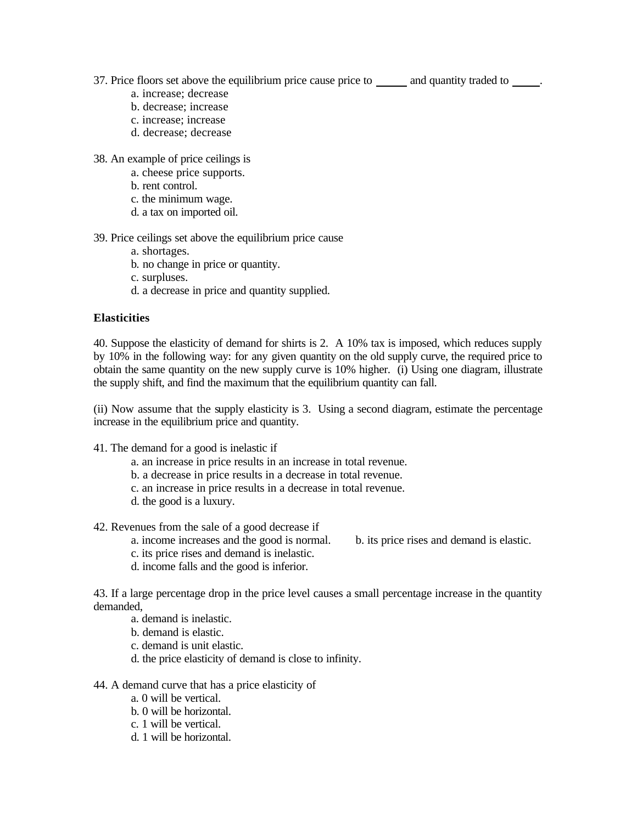37. Price floors set above the equilibrium price cause price to and quantity traded to .

- a. increase; decrease
- b. decrease; increase
- c. increase; increase
- d. decrease; decrease
- 38. An example of price ceilings is
	- a. cheese price supports.
	- b. rent control.
	- c. the minimum wage.
	- d. a tax on imported oil.
- 39. Price ceilings set above the equilibrium price cause
	- a. shortages.
	- b. no change in price or quantity.
	- c. surpluses.
	- d. a decrease in price and quantity supplied.

# **Elasticities**

40. Suppose the elasticity of demand for shirts is 2. A 10% tax is imposed, which reduces supply by 10% in the following way: for any given quantity on the old supply curve, the required price to obtain the same quantity on the new supply curve is 10% higher. (i) Using one diagram, illustrate the supply shift, and find the maximum that the equilibrium quantity can fall.

(ii) Now assume that the supply elasticity is 3. Using a second diagram, estimate the percentage increase in the equilibrium price and quantity.

41. The demand for a good is inelastic if

- a. an increase in price results in an increase in total revenue.
- b. a decrease in price results in a decrease in total revenue.
- c. an increase in price results in a decrease in total revenue.
- d. the good is a luxury.

42. Revenues from the sale of a good decrease if

- a. income increases and the good is normal. b. its price rises and demand is elastic.
- c. its price rises and demand is inelastic.
- d. income falls and the good is inferior.

43. If a large percentage drop in the price level causes a small percentage increase in the quantity demanded,

- a. demand is inelastic.
- b. demand is elastic.
- c. demand is unit elastic.
- d. the price elasticity of demand is close to infinity.
- 44. A demand curve that has a price elasticity of
	- a. 0 will be vertical.
	- b. 0 will be horizontal.
	- c. 1 will be vertical.
	- d. 1 will be horizontal.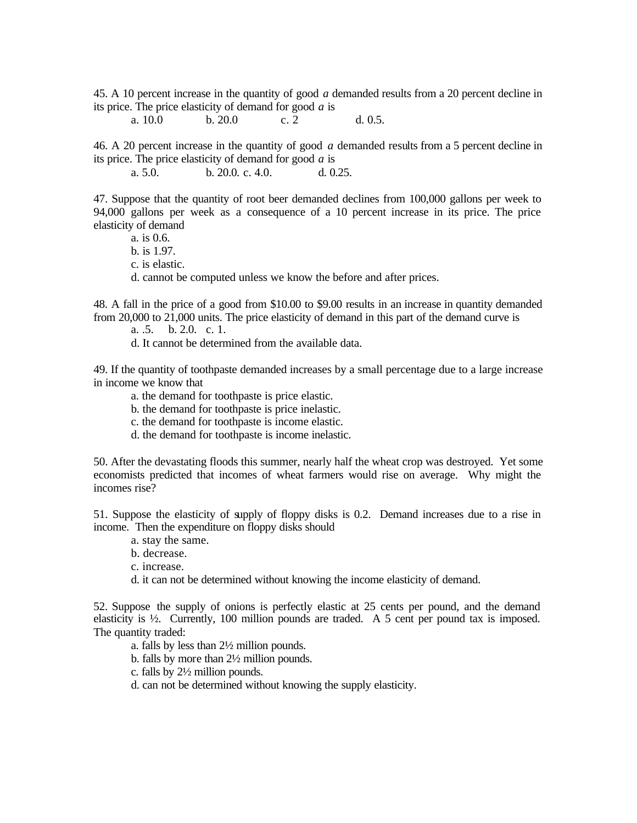45. A 10 percent increase in the quantity of good *a* demanded results from a 20 percent decline in its price. The price elasticity of demand for good *a* is

a. 10.0 b. 20.0 c. 2 d. 0.5.

46. A 20 percent increase in the quantity of good *a* demanded results from a 5 percent decline in its price. The price elasticity of demand for good *a* is

a. 5.0. b. 20.0. c. 4.0. d. 0.25.

47. Suppose that the quantity of root beer demanded declines from 100,000 gallons per week to 94,000 gallons per week as a consequence of a 10 percent increase in its price. The price elasticity of demand

a. is 0.6.

b. is 1.97.

c. is elastic.

d. cannot be computed unless we know the before and after prices.

48. A fall in the price of a good from \$10.00 to \$9.00 results in an increase in quantity demanded from 20,000 to 21,000 units. The price elasticity of demand in this part of the demand curve is

a. .5. b. 2.0. c. 1.

d. It cannot be determined from the available data.

49. If the quantity of toothpaste demanded increases by a small percentage due to a large increase in income we know that

- a. the demand for toothpaste is price elastic.
- b. the demand for toothpaste is price inelastic.
- c. the demand for toothpaste is income elastic.
- d. the demand for toothpaste is income inelastic.

50. After the devastating floods this summer, nearly half the wheat crop was destroyed. Yet some economists predicted that incomes of wheat farmers would rise on average. Why might the incomes rise?

51. Suppose the elasticity of supply of floppy disks is 0.2. Demand increases due to a rise in income. Then the expenditure on floppy disks should

- a. stay the same.
- b. decrease.
- c. increase.
- d. it can not be determined without knowing the income elasticity of demand.

52. Suppose the supply of onions is perfectly elastic at 25 cents per pound, and the demand elasticity is  $\frac{1}{2}$ . Currently, 100 million pounds are traded. A 5 cent per pound tax is imposed. The quantity traded:

- a. falls by less than 2½ million pounds.
- b. falls by more than 2½ million pounds.
- c. falls by 2½ million pounds.

d. can not be determined without knowing the supply elasticity.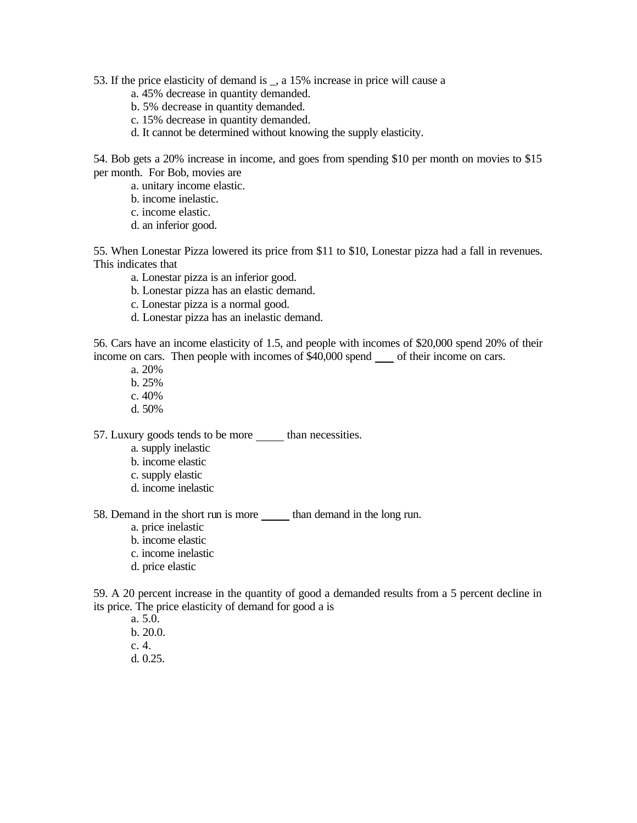53. If the price elasticity of demand is \_, a 15% increase in price will cause a

- a. 45% decrease in quantity demanded.
- b. 5% decrease in quantity demanded.
- c. 15% decrease in quantity demanded.
- d. It cannot be determined without knowing the supply elasticity.

54. Bob gets a 20% increase in income, and goes from spending \$10 per month on movies to \$15 per month. For Bob, movies are

- a. unitary income elastic.
- b. income inelastic.
- c. income elastic.
- d. an inferior good.

55. When Lonestar Pizza lowered its price from \$11 to \$10, Lonestar pizza had a fall in revenues. This indicates that

- a. Lonestar pizza is an inferior good.
- b. Lonestar pizza has an elastic demand.
- c. Lonestar pizza is a normal good.
- d. Lonestar pizza has an inelastic demand.

56. Cars have an income elasticity of 1.5, and people with incomes of \$20,000 spend 20% of their income on cars. Then people with incomes of \$40,000 spend of their income on cars.

- a. 20%
- b. 25%
- c. 40%
- d. 50%

57. Luxury goods tends to be more than necessities.

- a. supply inelastic
- b. income elastic
- c. supply elastic
- d. income inelastic

58. Demand in the short run is more than demand in the long run.

- a. price inelastic
- b. income elastic
- c. income inelastic
- d. price elastic

59. A 20 percent increase in the quantity of good a demanded results from a 5 percent decline in its price. The price elasticity of demand for good a is

a. 5.0. b. 20.0. c. 4. d. 0.25.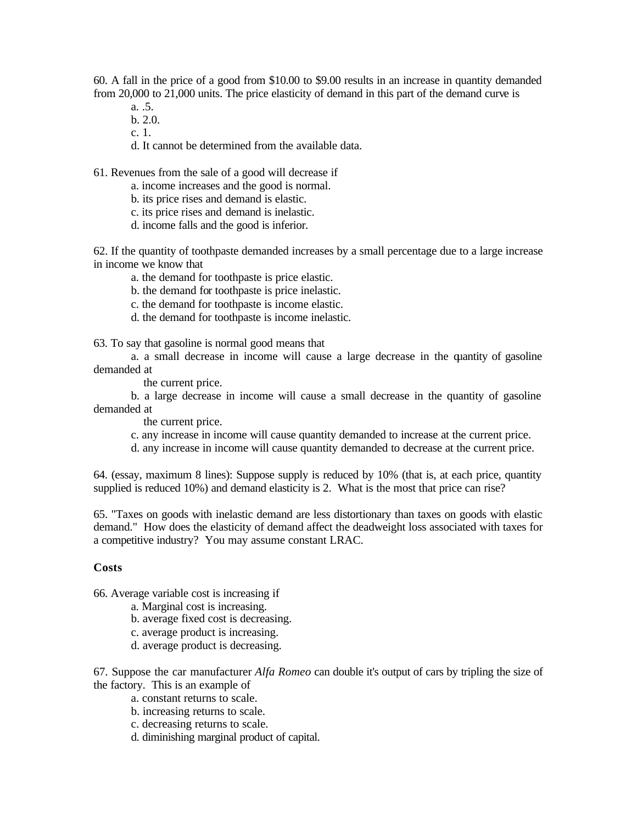60. A fall in the price of a good from \$10.00 to \$9.00 results in an increase in quantity demanded from 20,000 to 21,000 units. The price elasticity of demand in this part of the demand curve is

- a. .5.
- b. 2.0.
- c. 1.
- d. It cannot be determined from the available data.

61. Revenues from the sale of a good will decrease if

- a. income increases and the good is normal.
- b. its price rises and demand is elastic.
- c. its price rises and demand is inelastic.
- d. income falls and the good is inferior.

62. If the quantity of toothpaste demanded increases by a small percentage due to a large increase in income we know that

- a. the demand for toothpaste is price elastic.
- b. the demand for toothpaste is price inelastic.
- c. the demand for toothpaste is income elastic.
- d. the demand for toothpaste is income inelastic.

63. To say that gasoline is normal good means that

a. a small decrease in income will cause a large decrease in the quantity of gasoline demanded at

the current price.

b. a large decrease in income will cause a small decrease in the quantity of gasoline demanded at

the current price.

- c. any increase in income will cause quantity demanded to increase at the current price.
- d. any increase in income will cause quantity demanded to decrease at the current price.

64. (essay, maximum 8 lines): Suppose supply is reduced by 10% (that is, at each price, quantity supplied is reduced 10%) and demand elasticity is 2. What is the most that price can rise?

65. "Taxes on goods with inelastic demand are less distortionary than taxes on goods with elastic demand." How does the elasticity of demand affect the deadweight loss associated with taxes for a competitive industry? You may assume constant LRAC.

#### **Costs**

66. Average variable cost is increasing if

- a. Marginal cost is increasing.
- b. average fixed cost is decreasing.
- c. average product is increasing.
- d. average product is decreasing.

67. Suppose the car manufacturer *Alfa Romeo* can double it's output of cars by tripling the size of the factory. This is an example of

- a. constant returns to scale.
- b. increasing returns to scale.
- c. decreasing returns to scale.
- d. diminishing marginal product of capital.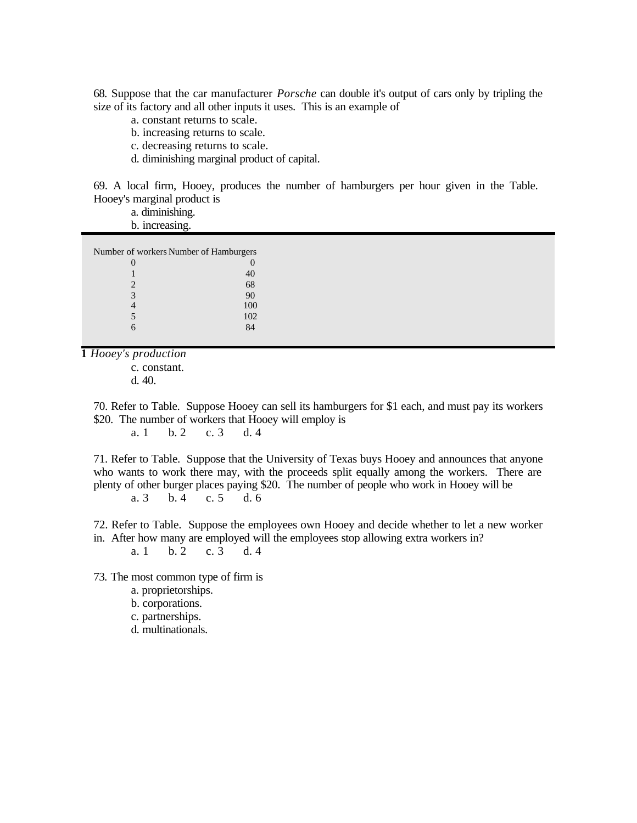68. Suppose that the car manufacturer *Porsche* can double it's output of cars only by tripling the size of its factory and all other inputs it uses. This is an example of

- a. constant returns to scale.
- b. increasing returns to scale.
- c. decreasing returns to scale.
- d. diminishing marginal product of capital.

69. A local firm, Hooey, produces the number of hamburgers per hour given in the Table. Hooey's marginal product is

a. diminishing.

b. increasing.

| Number of workers Number of Hamburgers |     |  |  |  |  |
|----------------------------------------|-----|--|--|--|--|
| $\mathbf{\Omega}$                      |     |  |  |  |  |
|                                        | 40  |  |  |  |  |
| $\mathcal{D}_{\cdot}$                  | 68  |  |  |  |  |
| 3                                      | 90  |  |  |  |  |
|                                        | 100 |  |  |  |  |
| 5                                      | 102 |  |  |  |  |
|                                        |     |  |  |  |  |

**1** *Hooey's production*

c. constant.

d. 40.

70. Refer to Table. Suppose Hooey can sell its hamburgers for \$1 each, and must pay its workers \$20. The number of workers that Hooey will employ is

a. 1 b. 2 c. 3 d. 4

71. Refer to Table. Suppose that the University of Texas buys Hooey and announces that anyone who wants to work there may, with the proceeds split equally among the workers. There are plenty of other burger places paying \$20. The number of people who work in Hooey will be a. 3 b. 4 c. 5 d. 6

72. Refer to Table. Suppose the employees own Hooey and decide whether to let a new worker in. After how many are employed will the employees stop allowing extra workers in?

a. 1 b. 2 c. 3 d. 4

73. The most common type of firm is

- a. proprietorships.
- b. corporations.
- c. partnerships.
- d. multinationals.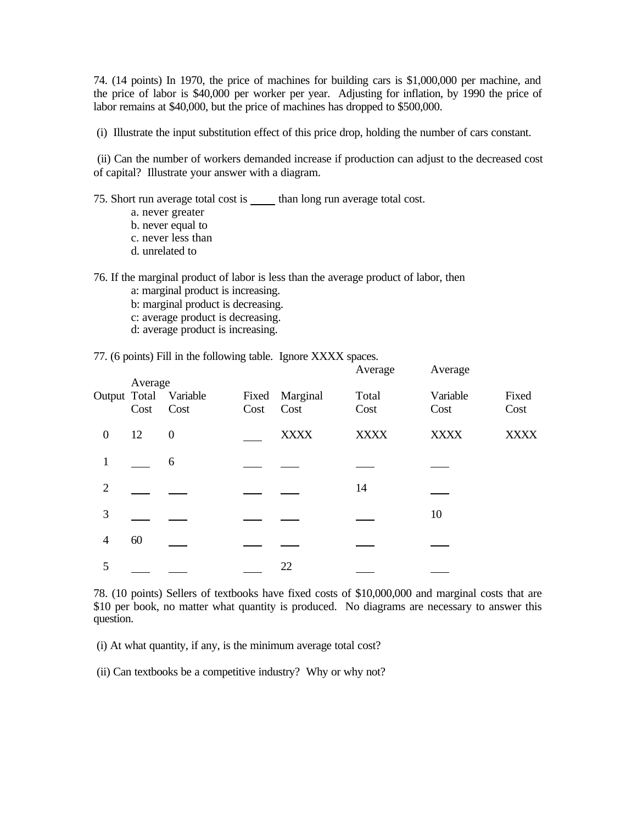74. (14 points) In 1970, the price of machines for building cars is \$1,000,000 per machine, and the price of labor is \$40,000 per worker per year. Adjusting for inflation, by 1990 the price of labor remains at \$40,000, but the price of machines has dropped to \$500,000.

(i) Illustrate the input substitution effect of this price drop, holding the number of cars constant.

 (ii) Can the number of workers demanded increase if production can adjust to the decreased cost of capital? Illustrate your answer with a diagram.

75. Short run average total cost is than long run average total cost.

- a. never greater
- b. never equal to
- c. never less than
- d. unrelated to

76. If the marginal product of labor is less than the average product of labor, then

- a: marginal product is increasing.
- b: marginal product is decreasing.
- c: average product is decreasing.
- d: average product is increasing.

77. (6 points) Fill in the following table. Ignore XXXX spaces.

|                  | Average |                               |               |                  | Average       | Average          |               |
|------------------|---------|-------------------------------|---------------|------------------|---------------|------------------|---------------|
|                  | Cost    | Output Total Variable<br>Cost | Fixed<br>Cost | Marginal<br>Cost | Total<br>Cost | Variable<br>Cost | Fixed<br>Cost |
| $\boldsymbol{0}$ | 12      | $\boldsymbol{0}$              |               | <b>XXXX</b>      | <b>XXXX</b>   | <b>XXXX</b>      | <b>XXXX</b>   |
| 1                |         | 6                             |               |                  |               |                  |               |
| $\overline{2}$   |         |                               |               |                  | 14            |                  |               |
| 3                |         |                               |               |                  |               | 10               |               |
| $\overline{4}$   | 60      |                               |               |                  |               |                  |               |
| 5                |         |                               |               | 22               |               |                  |               |

78. (10 points) Sellers of textbooks have fixed costs of \$10,000,000 and marginal costs that are \$10 per book, no matter what quantity is produced. No diagrams are necessary to answer this question.

(i) At what quantity, if any, is the minimum average total cost?

(ii) Can textbooks be a competitive industry? Why or why not?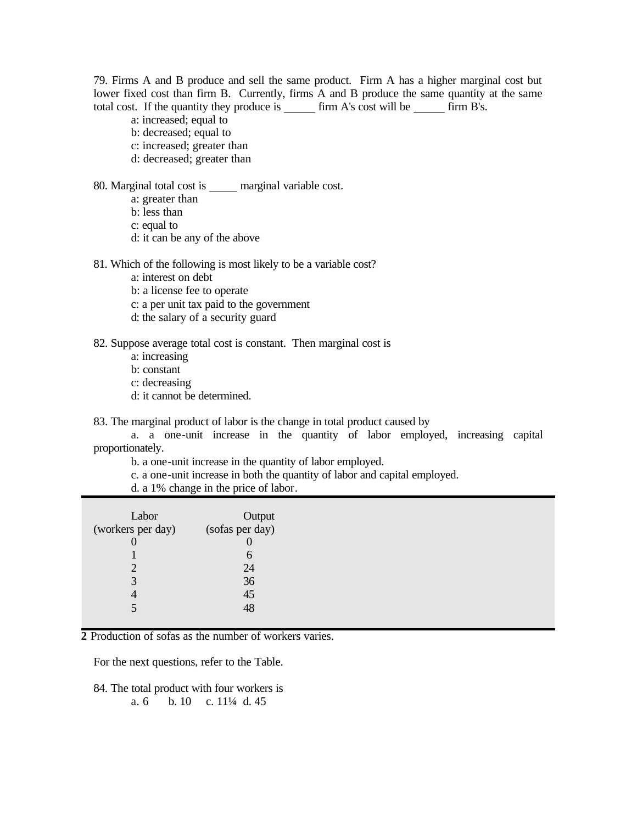79. Firms A and B produce and sell the same product. Firm A has a higher marginal cost but lower fixed cost than firm B. Currently, firms A and B produce the same quantity at the same total cost. If the quantity they produce is  $\frac{1}{\sqrt{1-\frac{1}{n}}}$  firm A's cost will be  $\frac{1}{\sqrt{1-\frac{1}{n}}}$  firm B's.

- a: increased; equal to
- b: decreased; equal to
- c: increased; greater than
- d: decreased; greater than

80. Marginal total cost is \_\_\_\_\_ marginal variable cost.

- a: greater than
- b: less than
- c: equal to
- d: it can be any of the above

81. Which of the following is most likely to be a variable cost?

- a: interest on debt
- b: a license fee to operate
- c: a per unit tax paid to the government
- d: the salary of a security guard
- 82. Suppose average total cost is constant. Then marginal cost is
	- a: increasing
	- b: constant
	- c: decreasing
	- d: it cannot be determined.

83. The marginal product of labor is the change in total product caused by

a. a one-unit increase in the quantity of labor employed, increasing capital proportionately.

- b. a one-unit increase in the quantity of labor employed.
- c. a one-unit increase in both the quantity of labor and capital employed.
- d. a 1% change in the price of labor.

| Labor             | Output          |
|-------------------|-----------------|
| (workers per day) | (sofas per day) |
|                   |                 |
|                   |                 |
|                   | 24              |
| 3                 | 36              |
|                   | 45              |
| 5                 |                 |
|                   |                 |

**2** Production of sofas as the number of workers varies.

For the next questions, refer to the Table.

84. The total product with four workers is a. 6 b. 10 c. 11¼ d. 45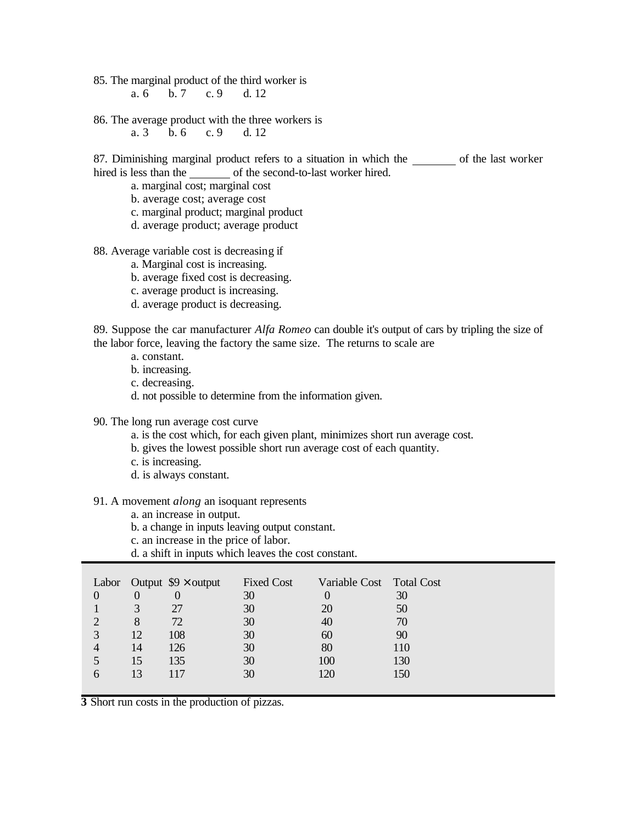85. The marginal product of the third worker is

a. 6 b. 7 c. 9 d. 12

86. The average product with the three workers is<br>a. 3 b. 6 c. 9 d. 12 b. 6 c. 9 d. 12

87. Diminishing marginal product refers to a situation in which the of the last worker hired is less than the of the second-to-last worker hired.

a. marginal cost; marginal cost

- b. average cost; average cost
- c. marginal product; marginal product
- d. average product; average product

88. Average variable cost is decreasing if

- a. Marginal cost is increasing.
- b. average fixed cost is decreasing.
- c. average product is increasing.
- d. average product is decreasing.

89. Suppose the car manufacturer *Alfa Romeo* can double it's output of cars by tripling the size of the labor force, leaving the factory the same size. The returns to scale are

- a. constant.
- b. increasing.
- c. decreasing.
- d. not possible to determine from the information given.
- 90. The long run average cost curve
	- a. is the cost which, for each given plant, minimizes short run average cost.
	- b. gives the lowest possible short run average cost of each quantity.
	- c. is increasing.
	- d. is always constant.
- 91. A movement *along* an isoquant represents
	- a. an increase in output.
	- b. a change in inputs leaving output constant.
	- c. an increase in the price of labor.
	- d. a shift in inputs which leaves the cost constant.

| Labor         |          | Output $$9 \times$ output | <b>Fixed Cost</b> | Variable Cost Total Cost |     |
|---------------|----------|---------------------------|-------------------|--------------------------|-----|
| $\Omega$      | $\Omega$ | $\overline{0}$            | 30                |                          | 30  |
|               | 3        | 27                        | 30                | 20                       | 50  |
|               | 8        | 72                        | 30                | 40                       | 70  |
|               | 12       | 108                       | 30                | 60                       | 90  |
|               | 14       | 126                       | 30                | 80                       | 110 |
|               | 15       | 135                       | 30                | 100                      | 130 |
| $\mathfrak b$ | 13       | 117                       | 30                | 120                      | 150 |
|               |          |                           |                   |                          |     |

**3** Short run costs in the production of pizzas.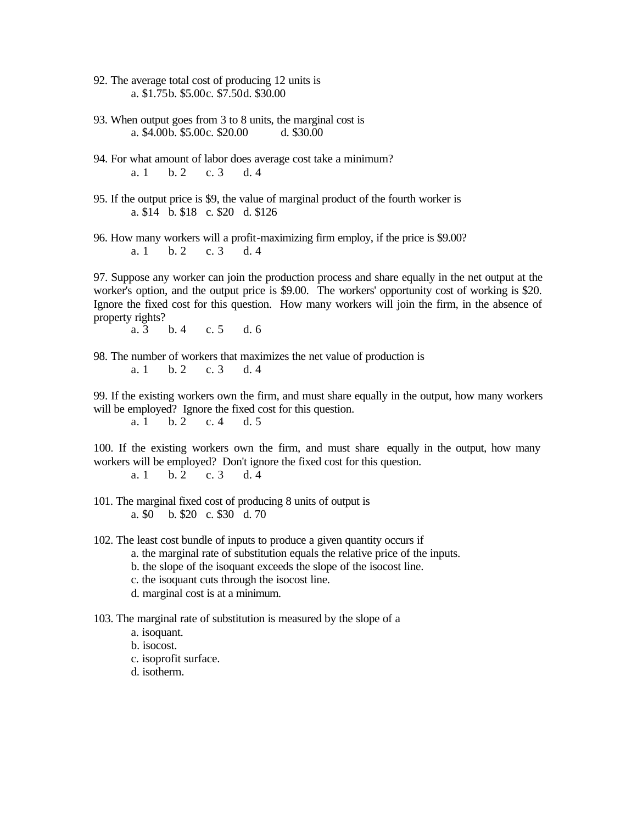92. The average total cost of producing 12 units is a. \$1.75b. \$5.00c. \$7.50d. \$30.00

93. When output goes from 3 to 8 units, the marginal cost is<br>a.  $$4.00b$ .  $$5.00c$ .  $$20.00$ <br>d.  $$30.00$ a. \$4.00b. \$5.00c. \$20.00

- 94. For what amount of labor does average cost take a minimum? a. 1 b. 2 c. 3 d. 4
- 95. If the output price is \$9, the value of marginal product of the fourth worker is a. \$14 b. \$18 c. \$20 d. \$126

96. How many workers will a profit-maximizing firm employ, if the price is \$9.00? a. 1 b. 2 c. 3 d. 4

97. Suppose any worker can join the production process and share equally in the net output at the worker's option, and the output price is \$9.00. The workers' opportunity cost of working is \$20. Ignore the fixed cost for this question. How many workers will join the firm, in the absence of property rights?

a. 3 b. 4 c. 5 d. 6

98. The number of workers that maximizes the net value of production is a. 1 b. 2 c. 3 d. 4

99. If the existing workers own the firm, and must share equally in the output, how many workers will be employed? Ignore the fixed cost for this question. a. 1 b. 2 c. 4 d. 5

100. If the existing workers own the firm, and must share equally in the output, how many workers will be employed? Don't ignore the fixed cost for this question. a. 1 b. 2 c. 3 d. 4

101. The marginal fixed cost of producing 8 units of output is a. \$0 b. \$20 c. \$30 d. 70

102. The least cost bundle of inputs to produce a given quantity occurs if

- a. the marginal rate of substitution equals the relative price of the inputs.
- b. the slope of the isoquant exceeds the slope of the isocost line.
- c. the isoquant cuts through the isocost line.
- d. marginal cost is at a minimum.

103. The marginal rate of substitution is measured by the slope of a

- a. isoquant.
- b. isocost.
- c. isoprofit surface.
- d. isotherm.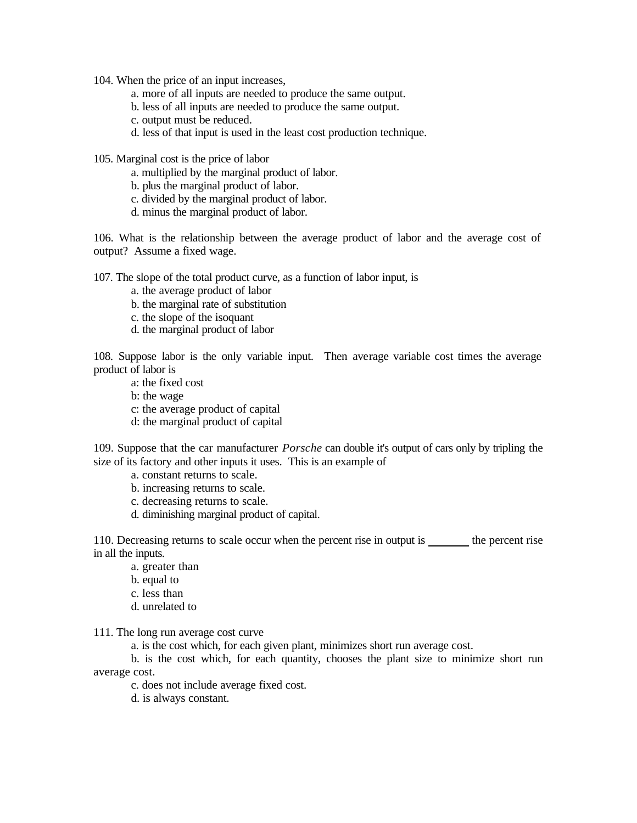104. When the price of an input increases,

- a. more of all inputs are needed to produce the same output.
- b. less of all inputs are needed to produce the same output.
- c. output must be reduced.
- d. less of that input is used in the least cost production technique.

105. Marginal cost is the price of labor

- a. multiplied by the marginal product of labor.
- b. plus the marginal product of labor.
- c. divided by the marginal product of labor.
- d. minus the marginal product of labor.

106. What is the relationship between the average product of labor and the average cost of output? Assume a fixed wage.

107. The slope of the total product curve, as a function of labor input, is

- a. the average product of labor
- b. the marginal rate of substitution
- c. the slope of the isoquant
- d. the marginal product of labor

108. Suppose labor is the only variable input. Then average variable cost times the average product of labor is

- a: the fixed cost
- b: the wage
- c: the average product of capital
- d: the marginal product of capital

109. Suppose that the car manufacturer *Porsche* can double it's output of cars only by tripling the size of its factory and other inputs it uses. This is an example of

- a. constant returns to scale.
- b. increasing returns to scale.
- c. decreasing returns to scale.
- d. diminishing marginal product of capital.

110. Decreasing returns to scale occur when the percent rise in output is the percent rise in all the inputs.

- a. greater than
- b. equal to
- c. less than
- d. unrelated to

111. The long run average cost curve

a. is the cost which, for each given plant, minimizes short run average cost.

b. is the cost which, for each quantity, chooses the plant size to minimize short run average cost.

c. does not include average fixed cost.

d. is always constant.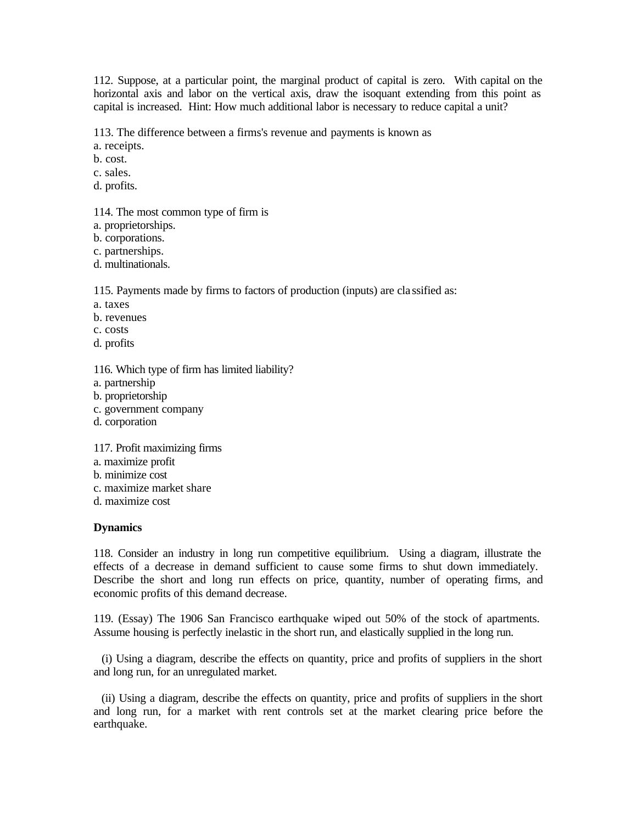112. Suppose, at a particular point, the marginal product of capital is zero. With capital on the horizontal axis and labor on the vertical axis, draw the isoquant extending from this point as capital is increased. Hint: How much additional labor is necessary to reduce capital a unit?

113. The difference between a firms's revenue and payments is known as

a. receipts.

b. cost.

c. sales.

d. profits.

114. The most common type of firm is

a. proprietorships.

b. corporations.

c. partnerships.

d. multinationals.

115. Payments made by firms to factors of production (inputs) are cla ssified as:

a. taxes

b. revenues

c. costs

d. profits

116. Which type of firm has limited liability?

a. partnership

b. proprietorship

c. government company

d. corporation

117. Profit maximizing firms

a. maximize profit

b. minimize cost

c. maximize market share

d. maximize cost

#### **Dynamics**

118. Consider an industry in long run competitive equilibrium. Using a diagram, illustrate the effects of a decrease in demand sufficient to cause some firms to shut down immediately. Describe the short and long run effects on price, quantity, number of operating firms, and economic profits of this demand decrease.

119. (Essay) The 1906 San Francisco earthquake wiped out 50% of the stock of apartments. Assume housing is perfectly inelastic in the short run, and elastically supplied in the long run.

 (i) Using a diagram, describe the effects on quantity, price and profits of suppliers in the short and long run, for an unregulated market.

 (ii) Using a diagram, describe the effects on quantity, price and profits of suppliers in the short and long run, for a market with rent controls set at the market clearing price before the earthquake.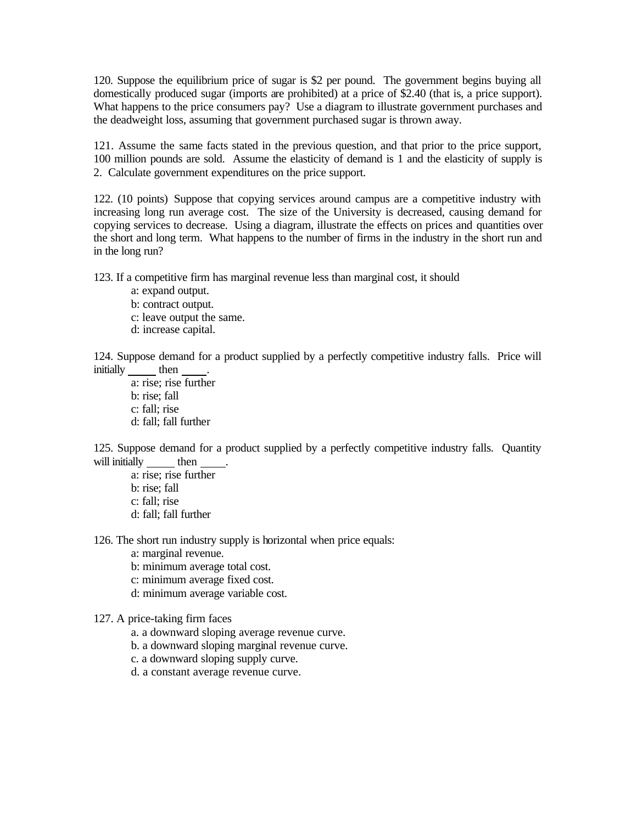120. Suppose the equilibrium price of sugar is \$2 per pound. The government begins buying all domestically produced sugar (imports are prohibited) at a price of \$2.40 (that is, a price support). What happens to the price consumers pay? Use a diagram to illustrate government purchases and the deadweight loss, assuming that government purchased sugar is thrown away.

121. Assume the same facts stated in the previous question, and that prior to the price support, 100 million pounds are sold. Assume the elasticity of demand is 1 and the elasticity of supply is 2. Calculate government expenditures on the price support.

122. (10 points) Suppose that copying services around campus are a competitive industry with increasing long run average cost. The size of the University is decreased, causing demand for copying services to decrease. Using a diagram, illustrate the effects on prices and quantities over the short and long term. What happens to the number of firms in the industry in the short run and in the long run?

123. If a competitive firm has marginal revenue less than marginal cost, it should

a: expand output.

b: contract output.

c: leave output the same.

d: increase capital.

124. Suppose demand for a product supplied by a perfectly competitive industry falls. Price will initially then

a: rise; rise further b: rise; fall c: fall; rise d: fall; fall further

125. Suppose demand for a product supplied by a perfectly competitive industry falls. Quantity will initially then

a: rise; rise further b: rise; fall c: fall; rise d: fall; fall further

126. The short run industry supply is horizontal when price equals:

- a: marginal revenue.
- b: minimum average total cost.
- c: minimum average fixed cost.
- d: minimum average variable cost.

## 127. A price-taking firm faces

- a. a downward sloping average revenue curve.
- b. a downward sloping marginal revenue curve.
- c. a downward sloping supply curve.
- d. a constant average revenue curve.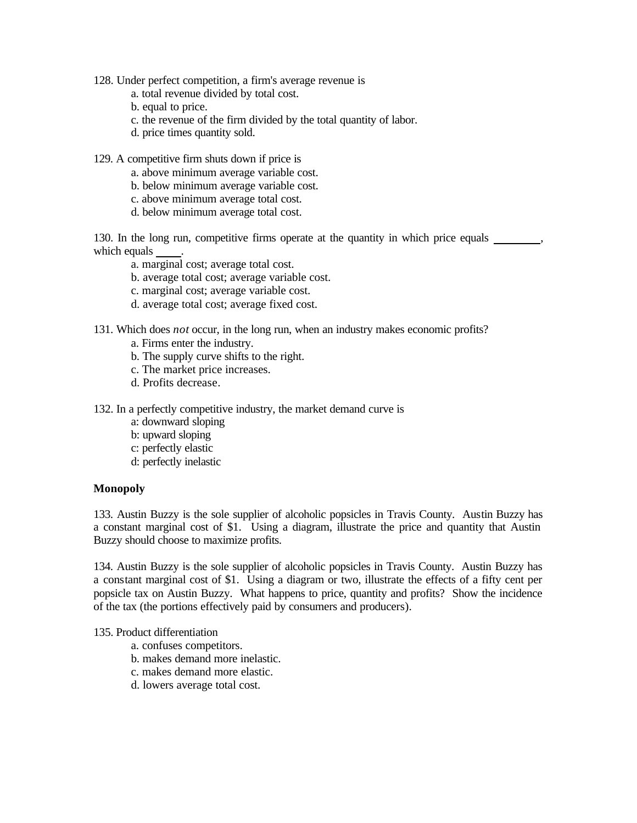- 128. Under perfect competition, a firm's average revenue is
	- a. total revenue divided by total cost.
	- b. equal to price.
	- c. the revenue of the firm divided by the total quantity of labor.
	- d. price times quantity sold.
- 129. A competitive firm shuts down if price is
	- a. above minimum average variable cost.
	- b. below minimum average variable cost.
	- c. above minimum average total cost.
	- d. below minimum average total cost.

130. In the long run, competitive firms operate at the quantity in which price equals , which equals

- a. marginal cost; average total cost.
- b. average total cost; average variable cost.
- c. marginal cost; average variable cost.
- d. average total cost; average fixed cost.
- 131. Which does *not* occur, in the long run, when an industry makes economic profits?
	- a. Firms enter the industry.
	- b. The supply curve shifts to the right.
	- c. The market price increases.
	- d. Profits decrease.

132. In a perfectly competitive industry, the market demand curve is

- a: downward sloping
- b: upward sloping
- c: perfectly elastic
- d: perfectly inelastic

#### **Monopoly**

133. Austin Buzzy is the sole supplier of alcoholic popsicles in Travis County. Austin Buzzy has a constant marginal cost of \$1. Using a diagram, illustrate the price and quantity that Austin Buzzy should choose to maximize profits.

134. Austin Buzzy is the sole supplier of alcoholic popsicles in Travis County. Austin Buzzy has a constant marginal cost of \$1. Using a diagram or two, illustrate the effects of a fifty cent per popsicle tax on Austin Buzzy. What happens to price, quantity and profits? Show the incidence of the tax (the portions effectively paid by consumers and producers).

# 135. Product differentiation

- a. confuses competitors.
- b. makes demand more inelastic.
- c. makes demand more elastic.
- d. lowers average total cost.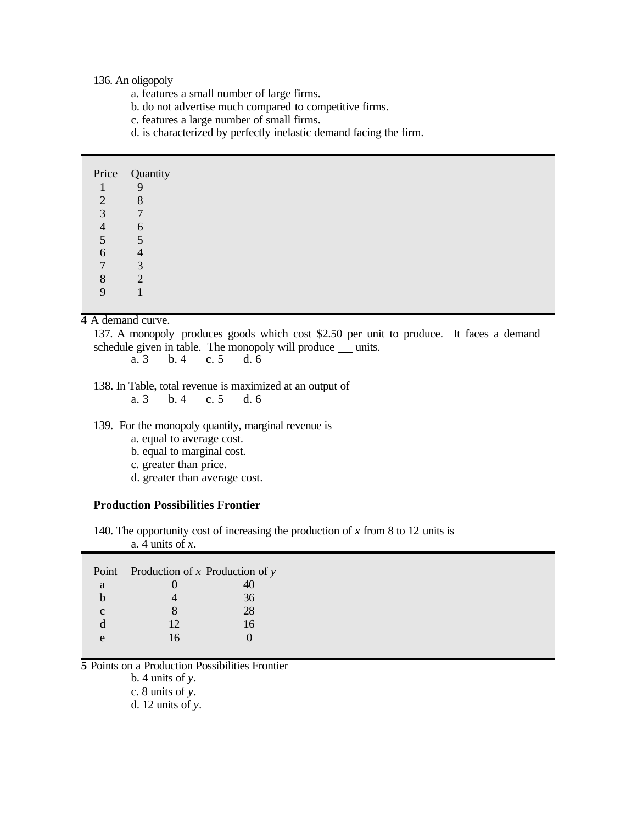136. An oligopoly

- a. features a small number of large firms.
- b. do not advertise much compared to competitive firms.
- c. features a large number of small firms.
- d. is characterized by perfectly inelastic demand facing the firm.

|                | Price Quantity |
|----------------|----------------|
|                | 9              |
| $\overline{2}$ | 8              |
| 3              | $\mathbf{r}$   |
| $\overline{4}$ | 6              |
| 5              | 5              |
| 6              | $\overline{4}$ |
| $\overline{7}$ | 3              |
| 8              | $\gamma$       |
| $\mathbf Q$    |                |

## **4** A demand curve.

137. A monopoly produces goods which cost \$2.50 per unit to produce. It faces a demand schedule given in table. The monopoly will produce  $\frac{\ }{\ }$  units.<br>a. 3 b. 4 c. 5 d. 6

a. 3 b. 4 c. 5 d. 6

138. In Table, total revenue is maximized at an output of

a. 3 b. 4 c. 5 d. 6

139. For the monopoly quantity, marginal revenue is

- a. equal to average cost.
- b. equal to marginal cost.
- c. greater than price.
- d. greater than average cost.

## **Production Possibilities Frontier**

140. The opportunity cost of increasing the production of *x* from 8 to 12 units is a. 4 units of *x*.

|              | Point Production of $x$ Production of $y$ |    |  |  |
|--------------|-------------------------------------------|----|--|--|
| a            |                                           |    |  |  |
|              |                                           | 36 |  |  |
| $\mathbf{C}$ |                                           | 28 |  |  |
|              | 12                                        | 16 |  |  |
| e            | 16                                        |    |  |  |

**5** Points on a Production Possibilities Frontier

b. 4 units of *y*.

c. 8 units of *y*.

d. 12 units of *y*.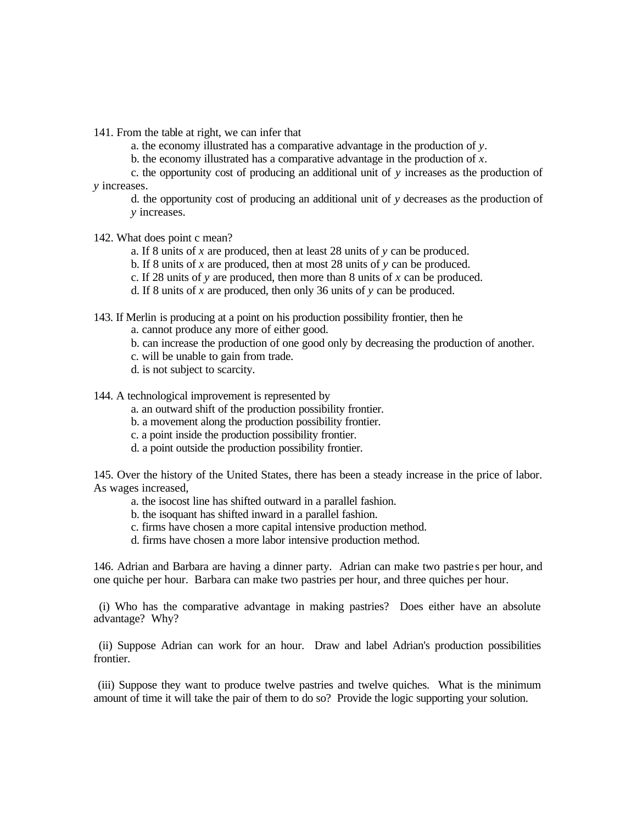141. From the table at right, we can infer that

a. the economy illustrated has a comparative advantage in the production of *y*.

b. the economy illustrated has a comparative advantage in the production of *x*.

c. the opportunity cost of producing an additional unit of *y* increases as the production of *y* increases.

d. the opportunity cost of producing an additional unit of *y* decreases as the production of *y* increases.

142. What does point c mean?

a. If 8 units of *x* are produced, then at least 28 units of *y* can be produced.

b. If 8 units of *x* are produced, then at most 28 units of *y* can be produced.

c. If 28 units of *y* are produced, then more than 8 units of *x* can be produced.

d. If 8 units of *x* are produced, then only 36 units of *y* can be produced.

143. If Merlin is producing at a point on his production possibility frontier, then he

a. cannot produce any more of either good.

b. can increase the production of one good only by decreasing the production of another.

- c. will be unable to gain from trade.
- d. is not subject to scarcity.

144. A technological improvement is represented by

a. an outward shift of the production possibility frontier.

b. a movement along the production possibility frontier.

- c. a point inside the production possibility frontier.
- d. a point outside the production possibility frontier.

145. Over the history of the United States, there has been a steady increase in the price of labor. As wages increased,

a. the isocost line has shifted outward in a parallel fashion.

b. the isoquant has shifted inward in a parallel fashion.

c. firms have chosen a more capital intensive production method.

d. firms have chosen a more labor intensive production method.

146. Adrian and Barbara are having a dinner party. Adrian can make two pastrie s per hour, and one quiche per hour. Barbara can make two pastries per hour, and three quiches per hour.

 (i) Who has the comparative advantage in making pastries? Does either have an absolute advantage? Why?

 (ii) Suppose Adrian can work for an hour. Draw and label Adrian's production possibilities frontier.

 (iii) Suppose they want to produce twelve pastries and twelve quiches. What is the minimum amount of time it will take the pair of them to do so? Provide the logic supporting your solution.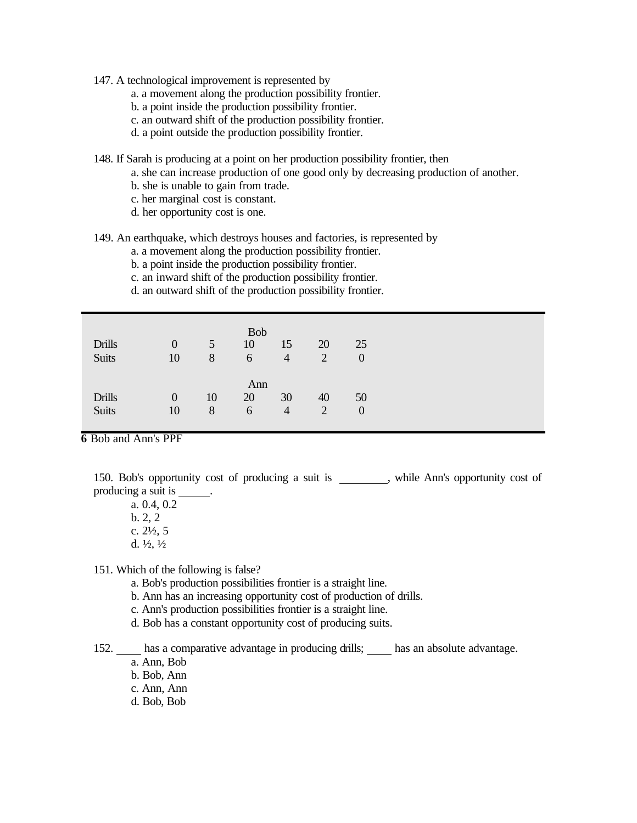- 147. A technological improvement is represented by
	- a. a movement along the production possibility frontier.
	- b. a point inside the production possibility frontier.
	- c. an outward shift of the production possibility frontier.
	- d. a point outside the production possibility frontier.
- 148. If Sarah is producing at a point on her production possibility frontier, then
	- a. she can increase production of one good only by decreasing production of another.
	- b. she is unable to gain from trade.
	- c. her marginal cost is constant.
	- d. her opportunity cost is one.

#### 149. An earthquake, which destroys houses and factories, is represented by

- a. a movement along the production possibility frontier.
- b. a point inside the production possibility frontier.
- c. an inward shift of the production possibility frontier.
- d. an outward shift of the production possibility frontier.

| <b>Drills</b><br><b>Suits</b> | $\Omega$<br>10       | 5 <sup>5</sup><br>8 | <b>Bob</b><br>10<br>6 | 15<br>$\overline{4}$ | 20<br>$\overline{2}$ | 25<br>$\overline{0}$ |
|-------------------------------|----------------------|---------------------|-----------------------|----------------------|----------------------|----------------------|
| <b>Drills</b><br><b>Suits</b> | $\overline{0}$<br>10 | 10<br>8             | Ann<br>20<br>6        | 30<br>$\overline{4}$ | 40<br>$\overline{2}$ | 50<br>$\theta$       |

**6** Bob and Ann's PPF

150. Bob's opportunity cost of producing a suit is \_\_\_\_\_\_\_, while Ann's opportunity cost of producing a suit is .

a. 0.4, 0.2 b. 2, 2 c. 2½, 5 d.  $\frac{1}{2}$ ,  $\frac{1}{2}$ 

151. Which of the following is false?

- a. Bob's production possibilities frontier is a straight line.
- b. Ann has an increasing opportunity cost of production of drills.
- c. Ann's production possibilities frontier is a straight line.
- d. Bob has a constant opportunity cost of producing suits.

152. has a comparative advantage in producing drills; has an absolute advantage. a. Ann, Bob

- b. Bob, Ann
- c. Ann, Ann
- d. Bob, Bob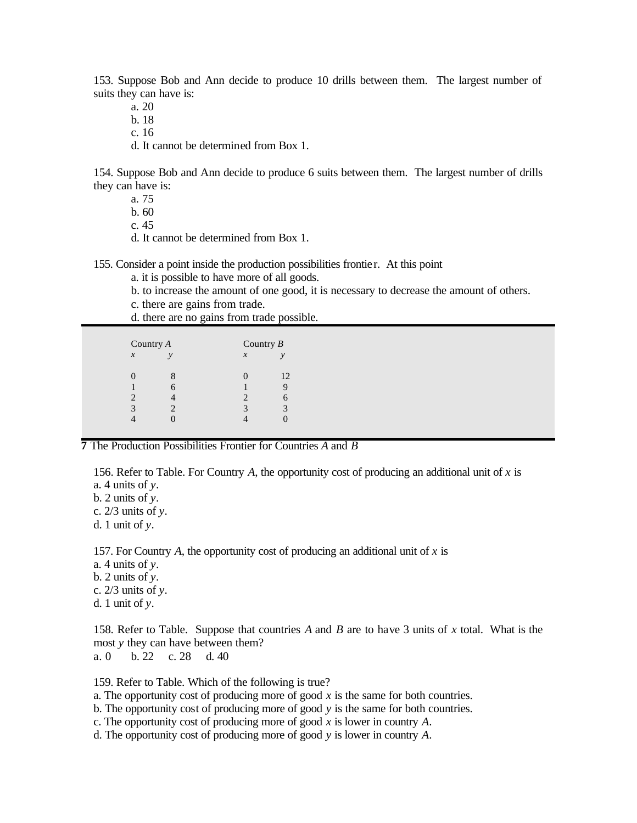153. Suppose Bob and Ann decide to produce 10 drills between them. The largest number of suits they can have is:

a. 20

b. 18

c. 16

d. It cannot be determined from Box 1.

154. Suppose Bob and Ann decide to produce 6 suits between them. The largest number of drills they can have is:

a. 75

b. 60

c. 45

d. It cannot be determined from Box 1.

155. Consider a point inside the production possibilities frontier. At this point

a. it is possible to have more of all goods.

b. to increase the amount of one good, it is necessary to decrease the amount of others.

c. there are gains from trade.

d. there are no gains from trade possible.

| Country A                  |               | Country $B$           |               |  |
|----------------------------|---------------|-----------------------|---------------|--|
| $\boldsymbol{\mathcal{X}}$ | $\mathcal{V}$ | $\boldsymbol{x}$      | $\mathcal{V}$ |  |
|                            | 8             |                       | 12            |  |
|                            | 6             |                       | Υ             |  |
|                            |               | $\mathcal{D}_{\cdot}$ | 6             |  |
| 3                          |               | 3                     | 3             |  |
|                            |               |                       |               |  |
|                            |               |                       |               |  |

**7** The Production Possibilities Frontier for Countries *A* and *B*

156. Refer to Table. For Country *A*, the opportunity cost of producing an additional unit of *x* is

a. 4 units of *y*.

b. 2 units of *y*.

c. 2/3 units of *y*.

d. 1 unit of *y*.

157. For Country *A*, the opportunity cost of producing an additional unit of *x* is

a. 4 units of *y*.

b. 2 units of *y*.

c. 2/3 units of *y*.

d. 1 unit of *y*.

158. Refer to Table. Suppose that countries *A* and *B* are to have 3 units of *x* total. What is the most *y* they can have between them?

a. 0 b. 22 c. 28 d. 40

159. Refer to Table. Which of the following is true?

a. The opportunity cost of producing more of good  $x$  is the same for both countries.

- b. The opportunity cost of producing more of good *y* is the same for both countries.
- c. The opportunity cost of producing more of good *x* is lower in country *A*.
- d. The opportunity cost of producing more of good *y* is lower in country *A*.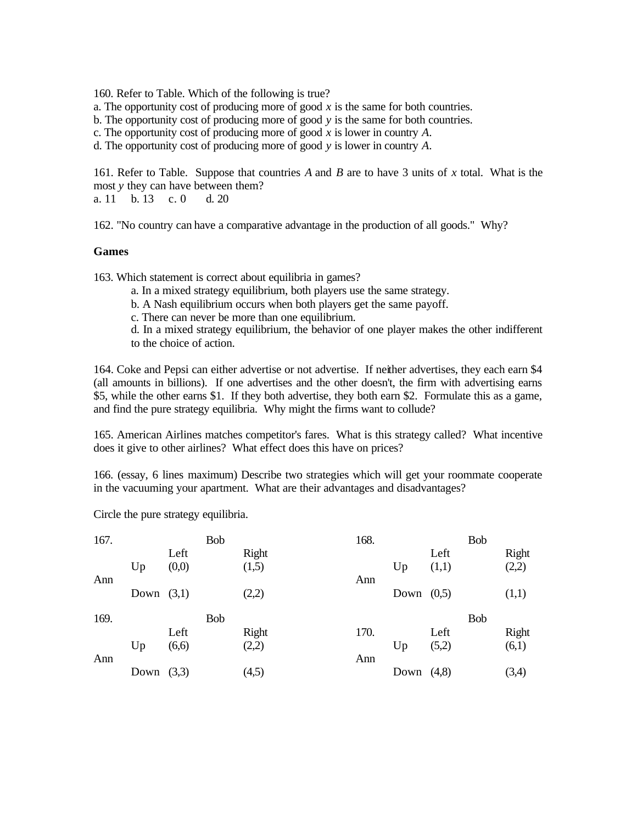160. Refer to Table. Which of the following is true?

a. The opportunity cost of producing more of good *x* is the same for both countries.

b. The opportunity cost of producing more of good *y* is the same for both countries.

c. The opportunity cost of producing more of good *x* is lower in country *A*.

d. The opportunity cost of producing more of good *y* is lower in country *A*.

161. Refer to Table. Suppose that countries *A* and *B* are to have 3 units of *x* total. What is the most *y* they can have between them? a. 11 b. 13 c. 0 d. 20

162. "No country can have a comparative advantage in the production of all goods." Why?

#### **Games**

163. Which statement is correct about equilibria in games?

- a. In a mixed strategy equilibrium, both players use the same strategy.
- b. A Nash equilibrium occurs when both players get the same payoff.
- c. There can never be more than one equilibrium.

d. In a mixed strategy equilibrium, the behavior of one player makes the other indifferent to the choice of action.

164. Coke and Pepsi can either advertise or not advertise. If neither advertises, they each earn \$4 (all amounts in billions). If one advertises and the other doesn't, the firm with advertising earns \$5, while the other earns \$1. If they both advertise, they both earn \$2. Formulate this as a game, and find the pure strategy equilibria. Why might the firms want to collude?

165. American Airlines matches competitor's fares. What is this strategy called? What incentive does it give to other airlines? What effect does this have on prices?

166. (essay, 6 lines maximum) Describe two strategies which will get your roommate cooperate in the vacuuming your apartment. What are their advantages and disadvantages?

Circle the pure strategy equilibria.

|      |       | Bob |            | 168. |      |       | Bob          |            |
|------|-------|-----|------------|------|------|-------|--------------|------------|
|      | Left  |     | Right      |      |      | Left  |              | Right      |
| Up   | (0,0) |     | (1,5)      |      | Up   | (1,1) |              | (2,2)      |
|      |       |     |            | Ann  |      |       |              |            |
| Down | (3,1) |     | (2,2)      |      |      |       |              | (1,1)      |
|      |       |     |            |      |      |       |              |            |
|      |       |     |            |      |      |       |              |            |
|      | Left  |     | Right      | 170. |      | Left  |              | Right      |
| Up   | (6,6) |     | (2,2)      |      | Up   | (5,2) |              | (6,1)      |
|      |       |     |            | Ann  |      |       |              |            |
| Down | (3,3) |     | (4,5)      |      | Down | (4,8) |              | (3,4)      |
|      |       |     | <b>Bob</b> |      |      |       | Down $(0,5)$ | <b>Bob</b> |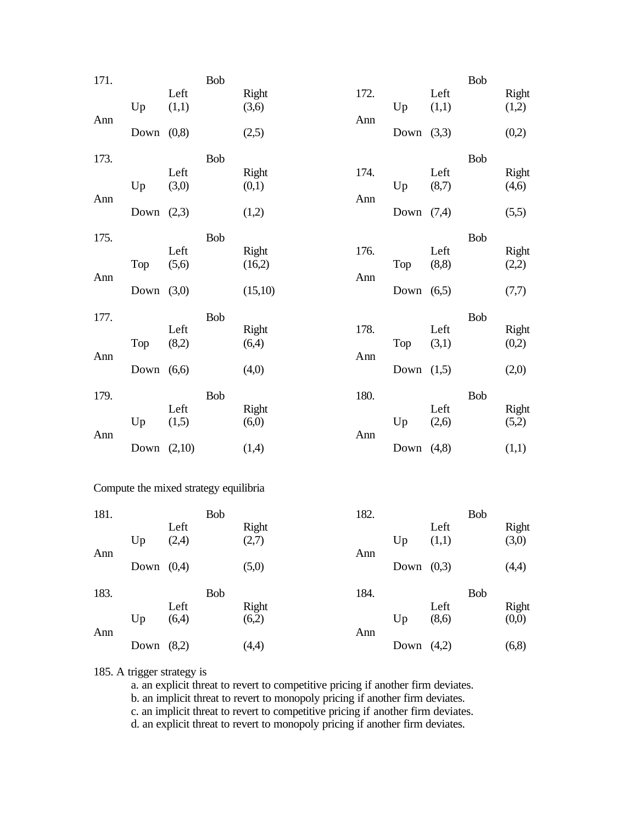| 171. |      |               | Bob        |                 |      |              |               | Bob        |                |
|------|------|---------------|------------|-----------------|------|--------------|---------------|------------|----------------|
|      | Up   | Left<br>(1,1) |            | Right<br>(3,6)  | 172. | Up           | Left<br>(1,1) |            | Right<br>(1,2) |
| Ann  | Down | (0, 8)        |            | (2,5)           | Ann  | Down $(3,3)$ |               |            | (0,2)          |
| 173. |      |               | Bob        |                 |      |              |               | <b>Bob</b> |                |
|      |      | Left          |            | Right           | 174. |              | Left          |            | Right          |
| Ann  | Up   | (3,0)         |            | (0,1)           | Ann  | Up           | (8,7)         |            | (4,6)          |
|      | Down | (2,3)         |            | (1,2)           |      | Down $(7,4)$ |               |            | (5,5)          |
| 175. |      |               | <b>Bob</b> |                 |      |              |               | <b>Bob</b> |                |
|      | Top  | Left<br>(5,6) |            | Right<br>(16,2) | 176. | Top          | Left<br>(8,8) |            | Right<br>(2,2) |
| Ann  | Down | (3,0)         |            | (15,10)         | Ann  | Down         | (6,5)         |            | (7,7)          |
|      |      |               |            |                 |      |              |               |            |                |
| 177. |      | Left          | <b>Bob</b> | Right           | 178. |              | Left          | <b>Bob</b> | Right          |
| Ann  | Top  | (8,2)         |            | (6,4)           | Ann  | Top          | (3,1)         |            | (0,2)          |
|      | Down | (6,6)         |            | (4,0)           |      | Down $(1,5)$ |               |            | (2,0)          |
| 179. |      |               | Bob        |                 | 180. |              |               | <b>Bob</b> |                |
|      | Up   | Left<br>(1,5) |            | Right<br>(6,0)  |      | Up           | Left<br>(2,6) |            | Right<br>(5,2) |
| Ann  |      |               |            |                 | Ann  |              |               |            |                |
|      | Down | (2,10)        |            | (1,4)           |      | Down $(4,8)$ |               |            | (1,1)          |

# Compute the mixed strategy equilibria

| 181. |      |       | <b>Bob</b> |       | 182. |              |       | Bob        |        |
|------|------|-------|------------|-------|------|--------------|-------|------------|--------|
|      |      | Left  |            | Right |      |              | Left  |            | Right  |
|      | Up   | (2,4) |            | (2,7) |      | Up           | (1,1) |            | (3,0)  |
| Ann  |      |       |            |       | Ann  |              |       |            |        |
|      | Down | (0,4) |            | (5,0) |      | Down $(0,3)$ |       |            | (4,4)  |
|      |      |       |            |       |      |              |       |            |        |
| 183. |      |       | <b>Bob</b> |       | 184. |              |       | <b>Bob</b> |        |
|      |      | Left  |            | Right |      |              | Left  |            | Right  |
|      | Up   | (6,4) |            | (6,2) |      | Up           | (8,6) |            | (0,0)  |
| Ann  |      |       |            |       | Ann  |              |       |            |        |
|      | Down | (8,2) |            | (4,4) |      | Down         | (4,2) |            | (6, 8) |

# 185. A trigger strategy is

a. an explicit threat to revert to competitive pricing if another firm deviates.

b. an implicit threat to revert to monopoly pricing if another firm deviates.

c. an implicit threat to revert to competitive pricing if another firm deviates.

d. an explicit threat to revert to monopoly pricing if another firm deviates.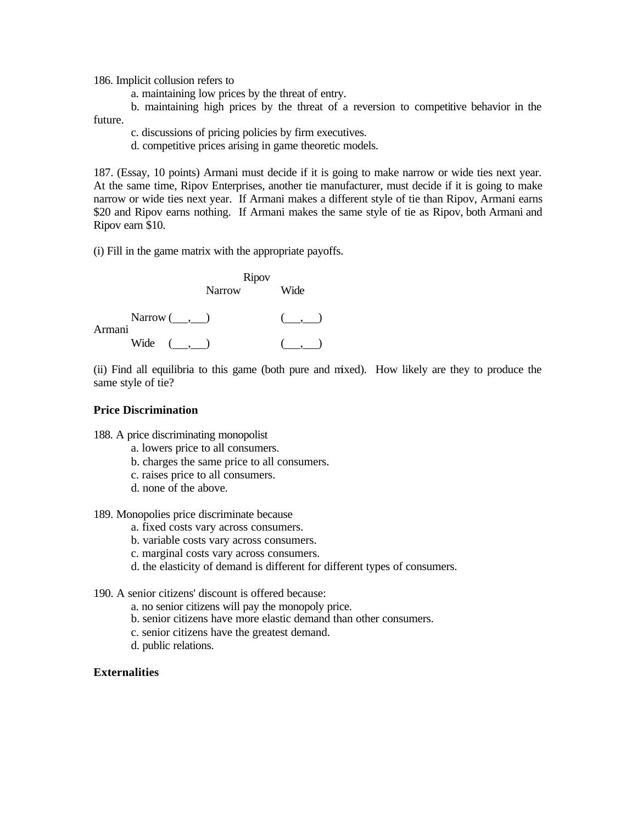186. Implicit collusion refers to

a. maintaining low prices by the threat of entry.

b. maintaining high prices by the threat of a reversion to competitive behavior in the future.

c. discussions of pricing policies by firm executives.

d. competitive prices arising in game theoretic models.

187. (Essay, 10 points) Armani must decide if it is going to make narrow or wide ties next year. At the same time, Ripov Enterprises, another tie manufacturer, must decide if it is going to make narrow or wide ties next year. If Armani makes a different style of tie than Ripov, Armani earns \$20 and Ripov earns nothing. If Armani makes the same style of tie as Ripov, both Armani and Ripov earn \$10.

(i) Fill in the game matrix with the appropriate payoffs.

Ripov Narrow Wide  $Narrow ( , )$  ( , ) Armani Wide  $( , )$   $( , )$ 

(ii) Find all equilibria to this game (both pure and mixed). How likely are they to produce the same style of tie?

## **Price Discrimination**

188. A price discriminating monopolist

- a. lowers price to all consumers.
- b. charges the same price to all consumers.
- c. raises price to all consumers.
- d. none of the above.

189. Monopolies price discriminate because

- a. fixed costs vary across consumers.
- b. variable costs vary across consumers.
- c. marginal costs vary across consumers.
- d. the elasticity of demand is different for different types of consumers.

190. A senior citizens' discount is offered because:

- a. no senior citizens will pay the monopoly price.
- b. senior citizens have more elastic demand than other consumers.
- c. senior citizens have the greatest demand.
- d. public relations.

# **Externalities**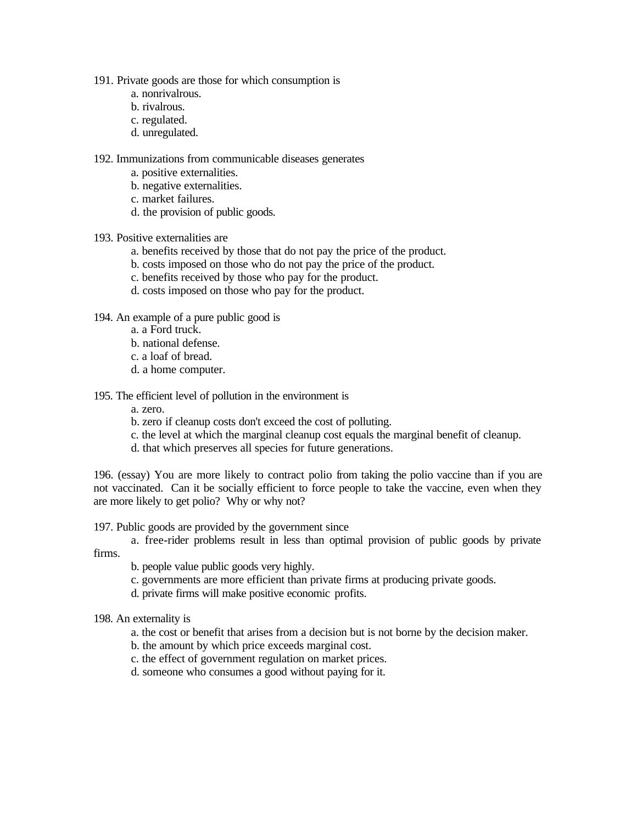- 191. Private goods are those for which consumption is
	- a. nonrivalrous.
	- b. rivalrous.
	- c. regulated.
	- d. unregulated.

192. Immunizations from communicable diseases generates

- a. positive externalities.
- b. negative externalities.
- c. market failures.
- d. the provision of public goods.
- 193. Positive externalities are
	- a. benefits received by those that do not pay the price of the product.
	- b. costs imposed on those who do not pay the price of the product.
	- c. benefits received by those who pay for the product.
	- d. costs imposed on those who pay for the product.

# 194. An example of a pure public good is

- a. a Ford truck.
- b. national defense.
- c. a loaf of bread.
- d. a home computer.

# 195. The efficient level of pollution in the environment is

- a. zero.
- b. zero if cleanup costs don't exceed the cost of polluting.
- c. the level at which the marginal cleanup cost equals the marginal benefit of cleanup.
- d. that which preserves all species for future generations.

196. (essay) You are more likely to contract polio from taking the polio vaccine than if you are not vaccinated. Can it be socially efficient to force people to take the vaccine, even when they are more likely to get polio? Why or why not?

# 197. Public goods are provided by the government since

a. free-rider problems result in less than optimal provision of public goods by private firms.

- b. people value public goods very highly.
- c. governments are more efficient than private firms at producing private goods.
- d. private firms will make positive economic profits.
- 198. An externality is
	- a. the cost or benefit that arises from a decision but is not borne by the decision maker.
	- b. the amount by which price exceeds marginal cost.
	- c. the effect of government regulation on market prices.
	- d. someone who consumes a good without paying for it.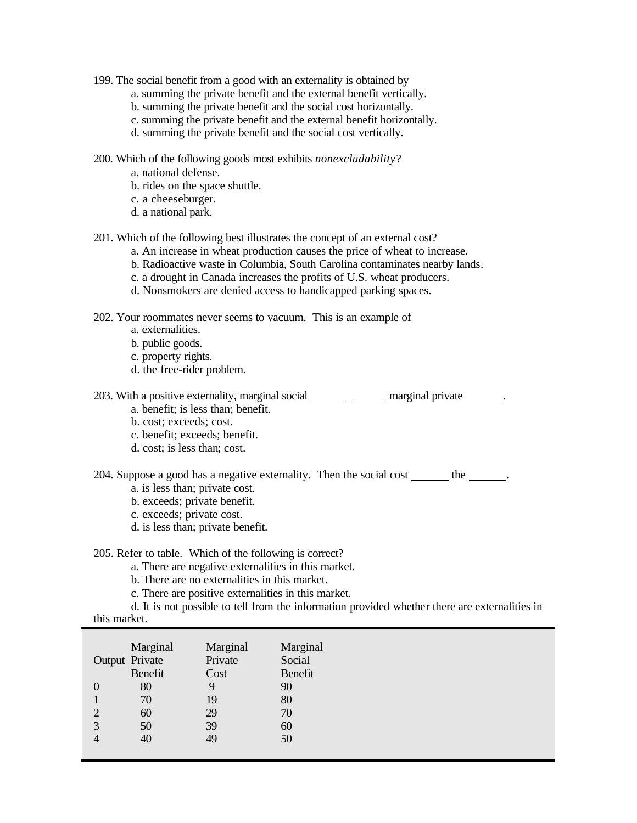- 199. The social benefit from a good with an externality is obtained by
	- a. summing the private benefit and the external benefit vertically.
	- b. summing the private benefit and the social cost horizontally.
	- c. summing the private benefit and the external benefit horizontally.
	- d. summing the private benefit and the social cost vertically.
- 200. Which of the following goods most exhibits *nonexcludability*?
	- a. national defense.
	- b. rides on the space shuttle.
	- c. a cheeseburger.
	- d. a national park.
- 201. Which of the following best illustrates the concept of an external cost?
	- a. An increase in wheat production causes the price of wheat to increase.
	- b. Radioactive waste in Columbia, South Carolina contaminates nearby lands.
	- c. a drought in Canada increases the profits of U.S. wheat producers.
	- d. Nonsmokers are denied access to handicapped parking spaces.
- 202. Your roommates never seems to vacuum. This is an example of
	- a. externalities.
	- b. public goods.
	- c. property rights.
	- d. the free-rider problem.

| 203. With a positive externality, marginal social | marginal private |
|---------------------------------------------------|------------------|
| a. benefit; is less than; benefit.                |                  |

- 
- b. cost; exceeds; cost.
- c. benefit; exceeds; benefit.
- d. cost; is less than; cost.

204. Suppose a good has a negative externality. Then the social cost the the .

- a. is less than; private cost.
- b. exceeds; private benefit.
- c. exceeds; private cost.
- d. is less than; private benefit.

## 205. Refer to table. Which of the following is correct?

- a. There are negative externalities in this market.
- b. There are no externalities in this market.
- c. There are positive externalities in this market.

d. It is not possible to tell from the information provided whether there are externalities in

| this market. |
|--------------|
|              |

|   | Marginal<br>Output Private<br>Benefit | Marginal<br>Private<br>Cost | Marginal<br>Social<br>Benefit |
|---|---------------------------------------|-----------------------------|-------------------------------|
| 0 | 80                                    | 9                           | 90                            |
|   | 70                                    | 19                          | 80                            |
| 2 | 60                                    | 29                          | 70                            |
| 3 | 50                                    | 39                          | 60                            |
| 4 | 40                                    | 49                          | 50                            |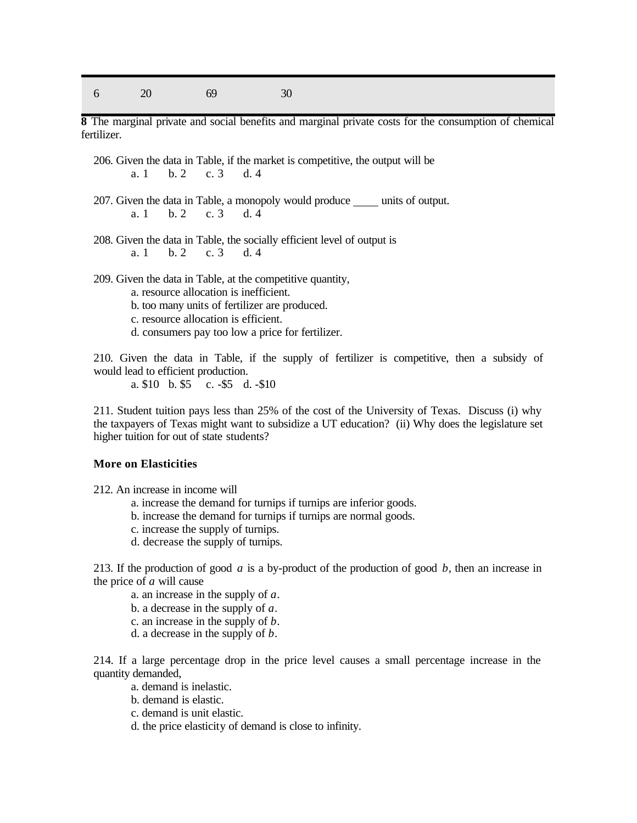6 20 69 30

**8** The marginal private and social benefits and marginal private costs for the consumption of chemical fertilizer.

206. Given the data in Table, if the market is competitive, the output will be a. 1 b. 2 c. 3 d. 4

- 207. Given the data in Table, a monopoly would produce units of output. a. 1 b. 2 c. 3 d. 4
- 208. Given the data in Table, the socially efficient level of output is  $a, 1, b, 2, c, 3, d, 4$ a. 1 b. 2 c. 3 d. 4

209. Given the data in Table, at the competitive quantity,

- a. resource allocation is inefficient.
- b. too many units of fertilizer are produced.
- c. resource allocation is efficient.
- d. consumers pay too low a price for fertilizer.

210. Given the data in Table, if the supply of fertilizer is competitive, then a subsidy of would lead to efficient production.

a. \$10 b. \$5 c. -\$5 d. -\$10

211. Student tuition pays less than 25% of the cost of the University of Texas. Discuss (i) why the taxpayers of Texas might want to subsidize a UT education? (ii) Why does the legislature set higher tuition for out of state students?

## **More on Elasticities**

212. An increase in income will

- a. increase the demand for turnips if turnips are inferior goods.
- b. increase the demand for turnips if turnips are normal goods.
- c. increase the supply of turnips.
- d. decrease the supply of turnips.

213. If the production of good *a* is a by-product of the production of good *b*, then an increase in the price of *a* will cause

- a. an increase in the supply of *a*.
- b. a decrease in the supply of *a*.
- c. an increase in the supply of *b*.
- d. a decrease in the supply of *b*.

214. If a large percentage drop in the price level causes a small percentage increase in the quantity demanded,

- a. demand is inelastic.
- b. demand is elastic.
- c. demand is unit elastic.
- d. the price elasticity of demand is close to infinity.